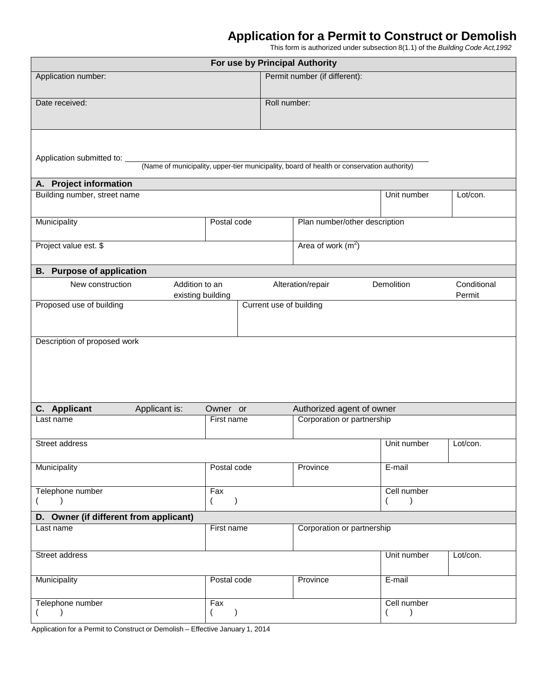## **Application for a Permit to Construct or Demolish**

This form is authorized under subsection 8(1.1) of the *Building Code Act,1992*

| For use by Principal Authority         |                                                                                            |                           |                               |  |                               |                       |  |  |
|----------------------------------------|--------------------------------------------------------------------------------------------|---------------------------|-------------------------------|--|-------------------------------|-----------------------|--|--|
| Application number:                    |                                                                                            |                           | Permit number (if different): |  |                               |                       |  |  |
| Date received:                         |                                                                                            | Roll number:              |                               |  |                               |                       |  |  |
|                                        |                                                                                            |                           |                               |  |                               |                       |  |  |
|                                        |                                                                                            |                           |                               |  |                               |                       |  |  |
| Application submitted to:              |                                                                                            |                           |                               |  |                               |                       |  |  |
|                                        | (Name of municipality, upper-tier municipality, board of health or conservation authority) |                           |                               |  |                               |                       |  |  |
| A. Project information                 |                                                                                            |                           |                               |  |                               |                       |  |  |
| Building number, street name           |                                                                                            |                           |                               |  | Unit number                   | Lot/con.              |  |  |
| Municipality                           |                                                                                            |                           |                               |  |                               |                       |  |  |
|                                        |                                                                                            | Postal code               |                               |  | Plan number/other description |                       |  |  |
| Project value est. \$                  |                                                                                            |                           | Area of work $(m2)$           |  |                               |                       |  |  |
|                                        |                                                                                            |                           |                               |  |                               |                       |  |  |
| <b>B.</b> Purpose of application       |                                                                                            |                           |                               |  |                               |                       |  |  |
| New construction                       | Addition to an<br>existing building                                                        |                           | Alteration/repair             |  | Demolition                    | Conditional<br>Permit |  |  |
| Proposed use of building               | Current use of building                                                                    |                           |                               |  |                               |                       |  |  |
|                                        |                                                                                            |                           |                               |  |                               |                       |  |  |
| Description of proposed work           |                                                                                            |                           |                               |  |                               |                       |  |  |
|                                        |                                                                                            |                           |                               |  |                               |                       |  |  |
|                                        |                                                                                            |                           |                               |  |                               |                       |  |  |
|                                        |                                                                                            |                           |                               |  |                               |                       |  |  |
|                                        |                                                                                            |                           |                               |  |                               |                       |  |  |
| C. Applicant<br>Applicant is:          | Owner or                                                                                   | Authorized agent of owner |                               |  |                               |                       |  |  |
| Last name                              | First name                                                                                 |                           | Corporation or partnership    |  |                               |                       |  |  |
| Street address                         |                                                                                            |                           |                               |  | Unit number                   | Lot/con.              |  |  |
|                                        |                                                                                            |                           |                               |  |                               |                       |  |  |
| Municipality                           | Postal code                                                                                |                           | Province                      |  | E-mail                        |                       |  |  |
| Telephone number                       | Fax                                                                                        |                           |                               |  | Cell number                   |                       |  |  |
| $\lambda$                              | $\lambda$<br>$\left($                                                                      |                           |                               |  | $\left($<br>$\lambda$         |                       |  |  |
| D. Owner (if different from applicant) |                                                                                            |                           |                               |  |                               |                       |  |  |
| Last name                              | First name                                                                                 |                           | Corporation or partnership    |  |                               |                       |  |  |
| Street address                         |                                                                                            |                           |                               |  | Unit number                   | Lot/con.              |  |  |
| Municipality                           | Postal code                                                                                |                           | Province                      |  | E-mail                        |                       |  |  |
| Telephone number                       | Fax                                                                                        |                           |                               |  | Cell number                   |                       |  |  |
| $\lambda$                              | $\left( \right)$<br>$\left($                                                               |                           |                               |  | $\left($<br>$\lambda$         |                       |  |  |

Application for a Permit to Construct or Demolish – Effective January 1, 2014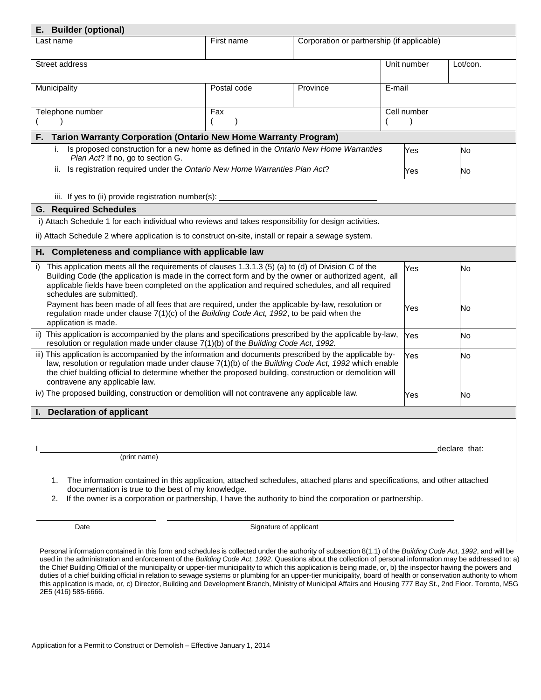| E. Builder (optional)                                                                                                                                                                                          |                                                                                            |                                            |             |               |  |
|----------------------------------------------------------------------------------------------------------------------------------------------------------------------------------------------------------------|--------------------------------------------------------------------------------------------|--------------------------------------------|-------------|---------------|--|
| Last name                                                                                                                                                                                                      | First name                                                                                 | Corporation or partnership (if applicable) |             |               |  |
|                                                                                                                                                                                                                |                                                                                            |                                            |             |               |  |
| Street address                                                                                                                                                                                                 |                                                                                            |                                            | Unit number | Lot/con.      |  |
|                                                                                                                                                                                                                |                                                                                            |                                            |             |               |  |
| Municipality                                                                                                                                                                                                   | Postal code                                                                                | Province                                   | E-mail      |               |  |
|                                                                                                                                                                                                                |                                                                                            |                                            |             |               |  |
| Telephone number                                                                                                                                                                                               | Fax                                                                                        |                                            | Cell number |               |  |
|                                                                                                                                                                                                                |                                                                                            |                                            |             |               |  |
| <b>Tarion Warranty Corporation (Ontario New Home Warranty Program)</b><br>F.                                                                                                                                   |                                                                                            |                                            |             |               |  |
| Is proposed construction for a new home as defined in the Ontario New Home Warranties<br>i.<br>Plan Act? If no, go to section G.                                                                               |                                                                                            |                                            | Yes         | No            |  |
| Is registration required under the Ontario New Home Warranties Plan Act?<br>ii.                                                                                                                                |                                                                                            |                                            | Yes         | No            |  |
|                                                                                                                                                                                                                |                                                                                            |                                            |             |               |  |
| iii. If yes to (ii) provide registration number(s):                                                                                                                                                            |                                                                                            |                                            |             |               |  |
| <b>G. Required Schedules</b>                                                                                                                                                                                   |                                                                                            |                                            |             |               |  |
| i) Attach Schedule 1 for each individual who reviews and takes responsibility for design activities.                                                                                                           |                                                                                            |                                            |             |               |  |
| ii) Attach Schedule 2 where application is to construct on-site, install or repair a sewage system.                                                                                                            |                                                                                            |                                            |             |               |  |
|                                                                                                                                                                                                                |                                                                                            |                                            |             |               |  |
| H. Completeness and compliance with applicable law                                                                                                                                                             |                                                                                            |                                            |             |               |  |
| This application meets all the requirements of clauses 1.3.1.3 (5) (a) to (d) of Division C of the<br>i)                                                                                                       |                                                                                            |                                            | Yes         | No            |  |
| Building Code (the application is made in the correct form and by the owner or authorized agent, all<br>applicable fields have been completed on the application and required schedules, and all required      |                                                                                            |                                            |             |               |  |
| schedules are submitted).                                                                                                                                                                                      |                                                                                            |                                            |             |               |  |
| Payment has been made of all fees that are required, under the applicable by-law, resolution or                                                                                                                |                                                                                            |                                            | Yes         | No            |  |
| application is made.                                                                                                                                                                                           | regulation made under clause $7(1)(c)$ of the Building Code Act, 1992, to be paid when the |                                            |             |               |  |
| ii) This application is accompanied by the plans and specifications prescribed by the applicable by-law,                                                                                                       |                                                                                            |                                            | Yes         | No            |  |
| resolution or regulation made under clause 7(1)(b) of the Building Code Act, 1992.                                                                                                                             |                                                                                            |                                            |             |               |  |
| iii) This application is accompanied by the information and documents prescribed by the applicable by-                                                                                                         | Yes                                                                                        | No                                         |             |               |  |
| law, resolution or regulation made under clause 7(1)(b) of the Building Code Act, 1992 which enable<br>the chief building official to determine whether the proposed building, construction or demolition will |                                                                                            |                                            |             |               |  |
| contravene any applicable law.                                                                                                                                                                                 |                                                                                            |                                            |             |               |  |
| iv) The proposed building, construction or demolition will not contravene any applicable law.                                                                                                                  |                                                                                            |                                            | Yes         | No            |  |
|                                                                                                                                                                                                                |                                                                                            |                                            |             |               |  |
| I. Declaration of applicant                                                                                                                                                                                    |                                                                                            |                                            |             |               |  |
|                                                                                                                                                                                                                |                                                                                            |                                            |             |               |  |
|                                                                                                                                                                                                                |                                                                                            |                                            |             |               |  |
| (print name)                                                                                                                                                                                                   |                                                                                            |                                            |             | declare that: |  |
|                                                                                                                                                                                                                |                                                                                            |                                            |             |               |  |
| The information contained in this application, attached schedules, attached plans and specifications, and other attached<br>1.                                                                                 |                                                                                            |                                            |             |               |  |
| documentation is true to the best of my knowledge.                                                                                                                                                             |                                                                                            |                                            |             |               |  |
| If the owner is a corporation or partnership, I have the authority to bind the corporation or partnership.<br>2.                                                                                               |                                                                                            |                                            |             |               |  |
|                                                                                                                                                                                                                |                                                                                            |                                            |             |               |  |
| Date                                                                                                                                                                                                           | Signature of applicant                                                                     |                                            |             |               |  |

Personal information contained in this form and schedules is collected under the authority of subsection 8(1.1) of the *Building Code Act, 1992*, and will be used in the administration and enforcement of the *Building Code Act, 1992*. Questions about the collection of personal information may be addressed to: a) the Chief Building Official of the municipality or upper-tier municipality to which this application is being made, or, b) the inspector having the powers and duties of a chief building official in relation to sewage systems or plumbing for an upper-tier municipality, board of health or conservation authority to whom this application is made, or, c) Director, Building and Development Branch, Ministry of Municipal Affairs and Housing 777 Bay St., 2nd Floor. Toronto, M5G 2E5 (416) 585-6666.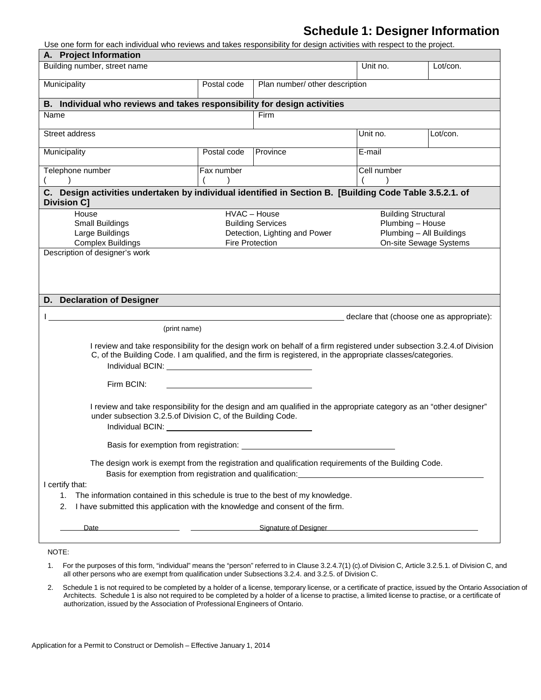## **Schedule 1: Designer Information**

Use one form for each individual who reviews and takes responsibility for design activities with respect to the project.

| A. Project Information                                                                                                                                                                                                                                                                                                           |                                                                                            |                                |          |                            |  |
|----------------------------------------------------------------------------------------------------------------------------------------------------------------------------------------------------------------------------------------------------------------------------------------------------------------------------------|--------------------------------------------------------------------------------------------|--------------------------------|----------|----------------------------|--|
| Building number, street name                                                                                                                                                                                                                                                                                                     |                                                                                            |                                | Unit no. | Lot/con.                   |  |
| Municipality                                                                                                                                                                                                                                                                                                                     | Postal code                                                                                | Plan number/ other description |          |                            |  |
| B. Individual who reviews and takes responsibility for design activities                                                                                                                                                                                                                                                         |                                                                                            |                                |          |                            |  |
| Name                                                                                                                                                                                                                                                                                                                             |                                                                                            | Firm                           |          |                            |  |
| Street address                                                                                                                                                                                                                                                                                                                   |                                                                                            |                                | Unit no. | Lot/con.                   |  |
| Municipality                                                                                                                                                                                                                                                                                                                     | Postal code                                                                                | Province                       | E-mail   |                            |  |
| Telephone number                                                                                                                                                                                                                                                                                                                 | Fax number                                                                                 | Cell number                    |          |                            |  |
|                                                                                                                                                                                                                                                                                                                                  |                                                                                            |                                |          |                            |  |
| C. Design activities undertaken by individual identified in Section B. [Building Code Table 3.5.2.1. of<br><b>Division C]</b>                                                                                                                                                                                                    |                                                                                            |                                |          |                            |  |
| House                                                                                                                                                                                                                                                                                                                            |                                                                                            | HVAC - House                   |          | <b>Building Structural</b> |  |
| <b>Small Buildings</b>                                                                                                                                                                                                                                                                                                           |                                                                                            | <b>Building Services</b>       |          | Plumbing - House           |  |
| Large Buildings                                                                                                                                                                                                                                                                                                                  |                                                                                            | Detection, Lighting and Power  |          | Plumbing - All Buildings   |  |
| <b>Complex Buildings</b><br>Description of designer's work                                                                                                                                                                                                                                                                       |                                                                                            | Fire Protection                |          | On-site Sewage Systems     |  |
| D. Declaration of Designer<br>declare that (choose one as appropriate):<br>(print name)<br>I review and take responsibility for the design work on behalf of a firm registered under subsection 3.2.4.of Division<br>C, of the Building Code. I am qualified, and the firm is registered, in the appropriate classes/categories. |                                                                                            |                                |          |                            |  |
| Individual BCIN: New York Changes and Changes and Changes and Changes and Changes and Changes and Changes and Changes and Changes and Changes and Changes and Changes and Changes and Changes and Changes and Changes and Chan                                                                                                   |                                                                                            |                                |          |                            |  |
| Firm BCIN:                                                                                                                                                                                                                                                                                                                       |                                                                                            |                                |          |                            |  |
| I review and take responsibility for the design and am qualified in the appropriate category as an "other designer"<br>under subsection 3.2.5.of Division C, of the Building Code.<br>Individual BCIN:                                                                                                                           |                                                                                            |                                |          |                            |  |
| Basis for exemption from registration:                                                                                                                                                                                                                                                                                           |                                                                                            |                                |          |                            |  |
| The design work is exempt from the registration and qualification requirements of the Building Code.<br>Basis for exemption from registration and qualification:                                                                                                                                                                 |                                                                                            |                                |          |                            |  |
| I certify that:                                                                                                                                                                                                                                                                                                                  |                                                                                            |                                |          |                            |  |
| The information contained in this schedule is true to the best of my knowledge.<br>1.<br>I have submitted this application with the knowledge and consent of the firm.<br>2.                                                                                                                                                     |                                                                                            |                                |          |                            |  |
| Date                                                                                                                                                                                                                                                                                                                             | <u>Signature of Designer and Communications of Designer and Communications of Designer</u> |                                |          |                            |  |
|                                                                                                                                                                                                                                                                                                                                  |                                                                                            |                                |          |                            |  |

- 1. For the purposes of this form, "individual" means the "person" referred to in Clause 3.2.4.7(1) (c).of Division C, Article 3.2.5.1. of Division C, and all other persons who are exempt from qualification under Subsections 3.2.4. and 3.2.5. of Division C.
- 2. Schedule 1 is not required to be completed by a holder of a license, temporary license, or a certificate of practice, issued by the Ontario Association of Architects. Schedule 1 is also not required to be completed by a holder of a license to practise, a limited license to practise, or a certificate of authorization, issued by the Association of Professional Engineers of Ontario.